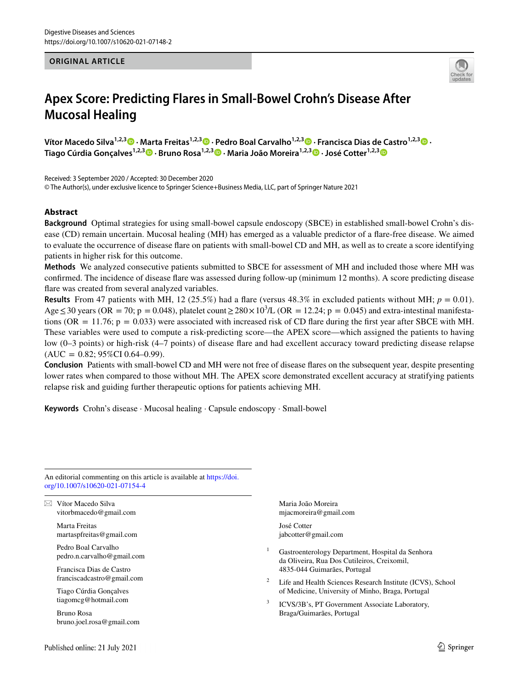#### **ORIGINAL ARTICLE**



# **Apex Score: Predicting Flares in Small‑Bowel Crohn's Disease After Mucosal Healing**

**Vítor Macedo Silva1,2,3 · Marta Freitas1,2,[3](http://orcid.org/0000-0002-1782-6373) · Pedro Boal Carvalho1,2,3  [·](http://orcid.org/0000-0002-7811-1101) Francisca Dias de Castro1,2,3 · Tiago Cúrdia Gonçalves1,2,[3](http://orcid.org/0000-0001-5540-6452) · Bruno Rosa1,2,3 · Maria João Moreira1,2,3  [·](http://orcid.org/0000-0002-3442-3939) José Cotter1,2,[3](http://orcid.org/0000-0002-2921-0648)**

Received: 3 September 2020 / Accepted: 30 December 2020 © The Author(s), under exclusive licence to Springer Science+Business Media, LLC, part of Springer Nature 2021

## **Abstract**

**Background** Optimal strategies for using small-bowel capsule endoscopy (SBCE) in established small-bowel Crohn's disease (CD) remain uncertain. Mucosal healing (MH) has emerged as a valuable predictor of a fare-free disease. We aimed to evaluate the occurrence of disease fare on patients with small-bowel CD and MH, as well as to create a score identifying patients in higher risk for this outcome.

**Methods** We analyzed consecutive patients submitted to SBCE for assessment of MH and included those where MH was confrmed. The incidence of disease fare was assessed during follow-up (minimum 12 months). A score predicting disease fare was created from several analyzed variables.

**Results** From 47 patients with MH, 12 (25.5%) had a flare (versus 48.3% in excluded patients without MH;  $p = 0.01$ ). Age  $\leq$  30 years (OR = 70; p = 0.048), platelet count  $\geq$  280  $\times$  10<sup>3</sup>/L (OR = 12.24; p = 0.045) and extra-intestinal manifestations (OR =  $11.76$ ; p = 0.033) were associated with increased risk of CD flare during the first year after SBCE with MH. These variables were used to compute a risk-predicting score—the APEX score—which assigned the patients to having low (0–3 points) or high-risk (4–7 points) of disease fare and had excellent accuracy toward predicting disease relapse  $(AUC = 0.82; 95\% CI\ 0.64-0.99).$ 

**Conclusion** Patients with small-bowel CD and MH were not free of disease fares on the subsequent year, despite presenting lower rates when compared to those without MH. The APEX score demonstrated excellent accuracy at stratifying patients relapse risk and guiding further therapeutic options for patients achieving MH.

**Keywords** Crohn's disease · Mucosal healing · Capsule endoscopy · Small-bowel

An editorial commenting on this article is available at [https://doi.](https://doi.org/10.1007/s10620-021-07154-4) [org/10.1007/s10620-021-07154-4](https://doi.org/10.1007/s10620-021-07154-4)

 $\boxtimes$  Vítor Macedo Silva vitorbmacedo@gmail.com

> Marta Freitas martaspfreitas@gmail.com

Pedro Boal Carvalho pedro.n.carvalho@gmail.com

Francisca Dias de Castro franciscadcastro@gmail.com

Tiago Cúrdia Gonçalves tiagomcg@hotmail.com

Bruno Rosa bruno.joel.rosa@gmail.com Maria João Moreira mjacmoreira@gmail.com

José Cotter jabcotter@gmail.com

- Gastroenterology Department, Hospital da Senhora da Oliveira, Rua Dos Cutileiros, Creixomil, 4835-044 Guimarães, Portugal
- <sup>2</sup> Life and Health Sciences Research Institute (ICVS), School of Medicine, University of Minho, Braga, Portugal
- ICVS/3B's, PT Government Associate Laboratory, Braga/Guimarães, Portugal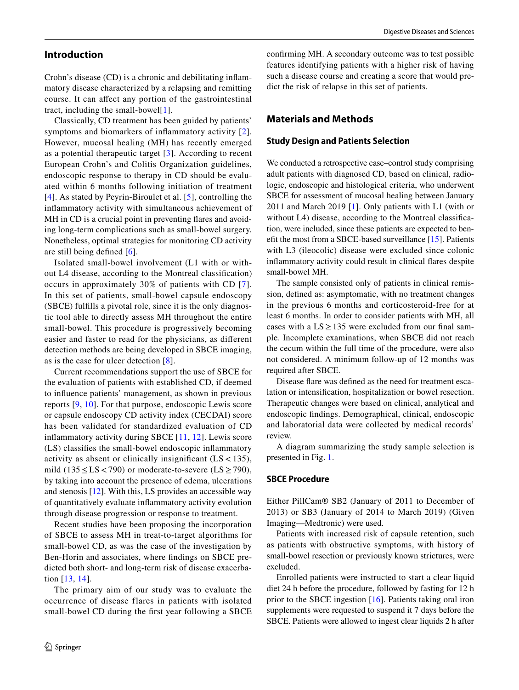Crohn's disease (CD) is a chronic and debilitating infammatory disease characterized by a relapsing and remitting course. It can afect any portion of the gastrointestinal tract, including the small-bowel $[1]$  $[1]$  $[1]$ .

Classically, CD treatment has been guided by patients' symptoms and biomarkers of infammatory activity [[2](#page-7-1)]. However, mucosal healing (MH) has recently emerged as a potential therapeutic target [[3\]](#page-7-2). According to recent European Crohn's and Colitis Organization guidelines, endoscopic response to therapy in CD should be evaluated within 6 months following initiation of treatment [[4\]](#page-7-3). As stated by Peyrin-Biroulet et al. [[5\]](#page-7-4), controlling the infammatory activity with simultaneous achievement of MH in CD is a crucial point in preventing fares and avoiding long-term complications such as small-bowel surgery. Nonetheless, optimal strategies for monitoring CD activity are still being defned [\[6](#page-7-5)].

Isolated small-bowel involvement (L1 with or without L4 disease, according to the Montreal classifcation) occurs in approximately 30% of patients with CD [[7\]](#page-7-6). In this set of patients, small-bowel capsule endoscopy (SBCE) fulflls a pivotal role, since it is the only diagnostic tool able to directly assess MH throughout the entire small-bowel. This procedure is progressively becoming easier and faster to read for the physicians, as diferent detection methods are being developed in SBCE imaging, as is the case for ulcer detection [\[8](#page-7-7)].

Current recommendations support the use of SBCE for the evaluation of patients with established CD, if deemed to infuence patients' management, as shown in previous reports [\[9,](#page-7-8) [10](#page-7-9)]. For that purpose, endoscopic Lewis score or capsule endoscopy CD activity index (CECDAI) score has been validated for standardized evaluation of CD infammatory activity during SBCE [[11,](#page-7-10) [12](#page-7-11)]. Lewis score (LS) classifes the small-bowel endoscopic infammatory activity as absent or clinically insignificant  $(LS < 135)$ , mild (135 ≤ LS < 790) or moderate-to-severe (LS ≥ 790), by taking into account the presence of edema, ulcerations and stenosis [[12\]](#page-7-11). With this, LS provides an accessible way of quantitatively evaluate infammatory activity evolution through disease progression or response to treatment.

Recent studies have been proposing the incorporation of SBCE to assess MH in treat-to-target algorithms for small-bowel CD, as was the case of the investigation by Ben-Horin and associates, where fndings on SBCE predicted both short- and long-term risk of disease exacerbation [\[13,](#page-7-12) [14](#page-8-0)].

The primary aim of our study was to evaluate the occurrence of disease flares in patients with isolated small-bowel CD during the frst year following a SBCE confrming MH. A secondary outcome was to test possible features identifying patients with a higher risk of having such a disease course and creating a score that would predict the risk of relapse in this set of patients.

# **Materials and Methods**

#### **Study Design and Patients Selection**

We conducted a retrospective case–control study comprising adult patients with diagnosed CD, based on clinical, radiologic, endoscopic and histological criteria, who underwent SBCE for assessment of mucosal healing between January 2011 and March 2019 [\[1\]](#page-7-0). Only patients with L1 (with or without L4) disease, according to the Montreal classifcation, were included, since these patients are expected to beneft the most from a SBCE-based surveillance [\[15](#page-8-1)]. Patients with L3 (ileocolic) disease were excluded since colonic infammatory activity could result in clinical fares despite small-bowel MH.

The sample consisted only of patients in clinical remission, defned as: asymptomatic, with no treatment changes in the previous 6 months and corticosteroid-free for at least 6 months. In order to consider patients with MH, all cases with a  $LS \ge 135$  were excluded from our final sample. Incomplete examinations, when SBCE did not reach the cecum within the full time of the procedure, were also not considered. A minimum follow-up of 12 months was required after SBCE.

Disease fare was defned as the need for treatment escalation or intensifcation, hospitalization or bowel resection. Therapeutic changes were based on clinical, analytical and endoscopic fndings. Demographical, clinical, endoscopic and laboratorial data were collected by medical records' review.

A diagram summarizing the study sample selection is presented in Fig. [1](#page-2-0).

#### **SBCE Procedure**

Either PillCam® SB2 (January of 2011 to December of 2013) or SB3 (January of 2014 to March 2019) (Given Imaging—Medtronic) were used.

Patients with increased risk of capsule retention, such as patients with obstructive symptoms, with history of small-bowel resection or previously known strictures, were excluded.

Enrolled patients were instructed to start a clear liquid diet 24 h before the procedure, followed by fasting for 12 h prior to the SBCE ingestion [[16\]](#page-8-2). Patients taking oral iron supplements were requested to suspend it 7 days before the SBCE. Patients were allowed to ingest clear liquids 2 h after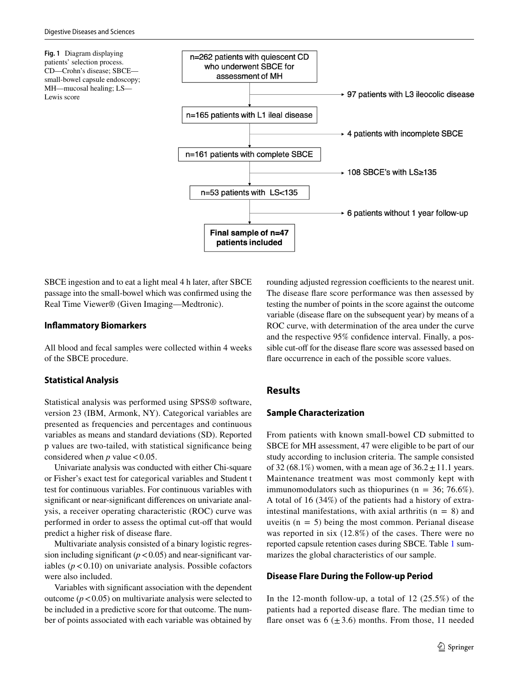<span id="page-2-0"></span>**Fig. 1** Diagram displaying n=262 patients with quiescent CD patients' selection process. who underwent SBCE for CD—Crohn's disease; SBCE assessment of MH small-bowel capsule endoscopy; MH—mucosal healing; LS— → 97 patients with L3 ileocolic disease Lewis scoren=165 patients with L1 ileal disease → 4 patients with incomplete SBCE n=161 patients with complete SBCE → 108 SBCE's with LS≥135 n=53 patients with LS<135 → 6 patients without 1 year follow-up Final sample of n=47 patients included

SBCE ingestion and to eat a light meal 4 h later, after SBCE passage into the small-bowel which was confrmed using the Real Time Viewer® (Given Imaging—Medtronic).

#### **Infammatory Biomarkers**

All blood and fecal samples were collected within 4 weeks of the SBCE procedure.

## **Statistical Analysis**

Statistical analysis was performed using SPSS® software, version 23 (IBM, Armonk, NY). Categorical variables are presented as frequencies and percentages and continuous variables as means and standard deviations (SD). Reported p values are two-tailed, with statistical signifcance being considered when  $p$  value < 0.05.

Univariate analysis was conducted with either Chi-square or Fisher's exact test for categorical variables and Student t test for continuous variables. For continuous variables with signifcant or near-signifcant diferences on univariate analysis, a receiver operating characteristic (ROC) curve was performed in order to assess the optimal cut-off that would predict a higher risk of disease fare.

Multivariate analysis consisted of a binary logistic regression including significant  $(p < 0.05)$  and near-significant variables  $(p < 0.10)$  on univariate analysis. Possible cofactors were also included.

Variables with signifcant association with the dependent outcome  $(p < 0.05)$  on multivariate analysis were selected to be included in a predictive score for that outcome. The number of points associated with each variable was obtained by rounding adjusted regression coefficients to the nearest unit. The disease fare score performance was then assessed by testing the number of points in the score against the outcome variable (disease fare on the subsequent year) by means of a ROC curve, with determination of the area under the curve and the respective 95% confdence interval. Finally, a possible cut-off for the disease flare score was assessed based on flare occurrence in each of the possible score values.

# **Results**

#### **Sample Characterization**

From patients with known small-bowel CD submitted to SBCE for MH assessment, 47 were eligible to be part of our study according to inclusion criteria. The sample consisted of 32 (68.1%) women, with a mean age of  $36.2 \pm 11.1$  years. Maintenance treatment was most commonly kept with immunomodulators such as thiopurines ( $n = 36$ ; 76.6%). A total of 16 (34%) of the patients had a history of extraintestinal manifestations, with axial arthritis  $(n = 8)$  and uveitis ( $n = 5$ ) being the most common. Perianal disease was reported in six (12.8%) of the cases. There were no reported capsule retention cases during SBCE. Table [1](#page-3-0) summarizes the global characteristics of our sample.

#### **Disease Flare During the Follow‑up Period**

In the 12-month follow-up, a total of 12  $(25.5%)$  of the patients had a reported disease fare. The median time to flare onset was  $6 \left( \pm 3.6 \right)$  months. From those, 11 needed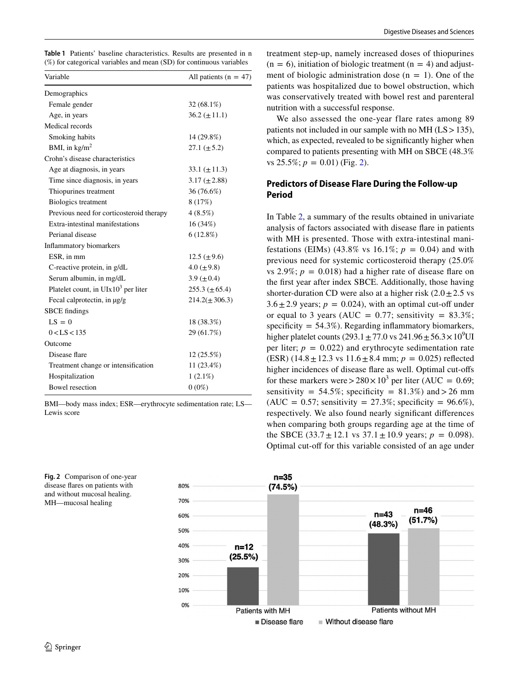<span id="page-3-0"></span>

|  | <b>Table 1</b> Patients' baseline characteristics. Results are presented in n |  |  |
|--|-------------------------------------------------------------------------------|--|--|
|  | $(\%)$ for categorical variables and mean (SD) for continuous variables       |  |  |

| Variable                                  | All patients ( $n = 47$ ) |
|-------------------------------------------|---------------------------|
| Demographics                              |                           |
| Female gender                             | 32 (68.1%)                |
| Age, in years                             | $36.2 (\pm 11.1)$         |
| Medical records                           |                           |
| Smoking habits                            | 14 (29.8%)                |
| BMI, in $\text{kg/m}^2$                   | 27.1 $(\pm 5.2)$          |
| Crohn's disease characteristics           |                           |
| Age at diagnosis, in years                | 33.1 $(\pm 11.3)$         |
| Time since diagnosis, in years            | 3.17 $(\pm 2.88)$         |
| Thiopurines treatment                     | 36 (76.6%)                |
| Biologics treatment                       | 8 (17%)                   |
| Previous need for corticosteroid therapy  | 4(8.5%)                   |
| Extra-intestinal manifestations           | 16 (34%)                  |
| Perianal disease                          | 6(12.8%)                  |
| <b>Inflammatory</b> biomarkers            |                           |
| ESR, in mm                                | $12.5 (\pm 9.6)$          |
| C-reactive protein, in g/dL               | $4.0 (\pm 9.8)$           |
| Serum albumin, in mg/dL                   | 3.9 ( $\pm$ 0.4)          |
| Platelet count, in $U I x 10^3$ per liter | $255.3 \ (\pm 65.4)$      |
| Fecal calprotectin, in µg/g               | $214.2(\pm 306.3)$        |
| <b>SBCE</b> findings                      |                           |
| $LS = 0$                                  | 18 (38.3%)                |
| 0 < LS < 135                              | 29 (61.7%)                |
| Outcome                                   |                           |
| Disease flare                             | $12(25.5\%)$              |
| Treatment change or intensification       | 11 (23.4%)                |
| Hospitalization                           | $1(2.1\%)$                |
| <b>Bowel resection</b>                    | $0(0\%)$                  |

BMI—body mass index; ESR—erythrocyte sedimentation rate; LS— Lewis score



treatment step-up, namely increased doses of thiopurines  $(n = 6)$ , initiation of biologic treatment  $(n = 4)$  and adjustment of biologic administration dose  $(n = 1)$ . One of the patients was hospitalized due to bowel obstruction, which was conservatively treated with bowel rest and parenteral nutrition with a successful response.

We also assessed the one-year flare rates among 89 patients not included in our sample with no MH (LS>135), which, as expected, revealed to be significantly higher when compared to patients presenting with MH on SBCE (48.3% vs  $25.5\%$ ;  $p = 0.01$ ) (Fig. [2\)](#page-3-1).

# **Predictors of Disease Flare During the Follow‑up Period**

In Table [2,](#page-4-0) a summary of the results obtained in univariate analysis of factors associated with disease fare in patients with MH is presented. Those with extra-intestinal manifestations (EIMs) (43.8% vs 16.1%;  $p = 0.04$ ) and with previous need for systemic corticosteroid therapy (25.0% vs 2.9%;  $p = 0.018$ ) had a higher rate of disease flare on the frst year after index SBCE. Additionally, those having shorter-duration CD were also at a higher risk  $(2.0 \pm 2.5 \text{ vs } 1.5 \text{ s})$  $3.6 \pm 2.9$  years;  $p = 0.024$ ), with an optimal cut-off under or equal to 3 years (AUC =  $0.77$ ; sensitivity =  $83.3\%$ ; specificity  $= 54.3\%$ ). Regarding inflammatory biomarkers, higher platelet counts  $(293.1 \pm 77.0 \text{ vs } 241.96 \pm 56.3 \times 10^9 \text{UI})$ per liter;  $p = 0.022$ ) and erythrocyte sedimentation rate (ESR)  $(14.8 \pm 12.3 \text{ vs } 11.6 \pm 8.4 \text{ mm}; p = 0.025) \text{ reflected}$ higher incidences of disease flare as well. Optimal cut-offs for these markers were >  $280 \times 10^3$  per liter (AUC = 0.69; sensitivity =  $54.5\%$ ; specificity =  $81.3\%$ ) and > 26 mm  $(AUC = 0.57;$  sensitivity = 27.3%; specificity = 96.6%), respectively. We also found nearly signifcant diferences when comparing both groups regarding age at the time of the SBCE  $(33.7 \pm 12.1 \text{ vs } 37.1 \pm 10.9 \text{ years}; p = 0.098)$ . Optimal cut-off for this variable consisted of an age under



#### <span id="page-3-1"></span>**Fig. 2** Comparison of one-year disease fares on patients with and without mucosal healing. MH—mucosal healing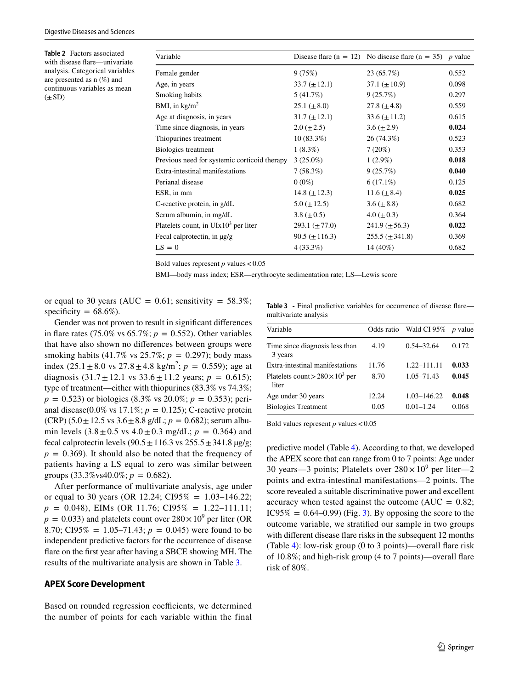<span id="page-4-0"></span>**Table 2** Factors associated with disease fare—univariate analysis. Categorical variables are presented as n (%) and continuous variables as mean  $(+SD)$ 

| Variable                                     |                    | Disease flare (n = 12) No disease flare (n = 35) p value |       |
|----------------------------------------------|--------------------|----------------------------------------------------------|-------|
| Female gender                                | 9(75%)             | 23 (65.7%)                                               | 0.552 |
| Age, in years                                | $33.7 (\pm 12.1)$  | 37.1 $(\pm 10.9)$                                        | 0.098 |
| Smoking habits                               | 5(41.7%)           | 9(25.7%)                                                 | 0.297 |
| BMI, in $\text{kg/m}^2$                      | 25.1 $(\pm 8.0)$   | 27.8 $(\pm 4.8)$                                         | 0.559 |
| Age at diagnosis, in years                   | $31.7 (\pm 12.1)$  | $33.6 (\pm 11.2)$                                        | 0.615 |
| Time since diagnosis, in years               | $2.0 (\pm 2.5)$    | $3.6 (\pm 2.9)$                                          | 0.024 |
| Thiopurines treatment                        | $10(83.3\%)$       | 26 (74.3%)                                               | 0.523 |
| <b>Biologics</b> treatment                   | $1(8.3\%)$         | 7(20%)                                                   | 0.353 |
| Previous need for systemic corticoid therapy | $3(25.0\%)$        | $1(2.9\%)$                                               | 0.018 |
| Extra-intestinal manifestations              | 7(58.3%)           | 9(25.7%)                                                 | 0.040 |
| Perianal disease                             | $0(0\%)$           | $6(17.1\%)$                                              | 0.125 |
| ESR, in mm                                   | 14.8 $(\pm 12.3)$  | 11.6 $(\pm 8.4)$                                         | 0.025 |
| C-reactive protein, in g/dL                  | $5.0 (\pm 12.5)$   | $3.6 (\pm 8.8)$                                          | 0.682 |
| Serum albumin, in mg/dL                      | $3.8 (\pm 0.5)$    | 4.0 ( $\pm$ 0.3)                                         | 0.364 |
| Platelets count, in $U1x10^3$ per liter      | 293.1 $(\pm 77.0)$ | $241.9 \ (\pm 56.3)$                                     | 0.022 |
| Fecal calprotectin, in µg/g                  | $90.5 (\pm 116.3)$ | $255.5 (\pm 341.8)$                                      | 0.369 |
| $LS = 0$                                     | $4(33.3\%)$        | 14 (40%)                                                 | 0.682 |
|                                              |                    |                                                          |       |

Bold values represent  $p$  values  $< 0.05$ 

BMI—body mass index; ESR—erythrocyte sedimentation rate; LS—Lewis score

or equal to 30 years (AUC =  $0.61$ ; sensitivity =  $58.3\%$ ; specificity =  $68.6\%$ ).

Gender was not proven to result in signifcant diferences in flare rates (75.0% vs  $65.7\%$ ;  $p = 0.552$ ). Other variables that have also shown no diferences between groups were smoking habits  $(41.7\% \text{ vs } 25.7\%; p = 0.297)$ ; body mass index  $(25.1 \pm 8.0 \text{ vs } 27.8 \pm 4.8 \text{ kg/m}^2; p = 0.559)$ ; age at diagnosis  $(31.7 \pm 12.1 \text{ vs } 33.6 \pm 11.2 \text{ years}; p = 0.615);$ type of treatment—either with thiopurines (83.3% vs 74.3%;  $p = 0.523$ ) or biologics (8.3% vs 20.0%;  $p = 0.353$ ); perianal disease( $0.0\%$  vs  $17.1\%$ ;  $p = 0.125$ ); C-reactive protein (CRP)  $(5.0 \pm 12.5 \text{ vs } 3.6 \pm 8.8 \text{ g/dL}; p = 0.682)$ ; serum albumin levels  $(3.8 \pm 0.5 \text{ vs } 4.0 \pm 0.3 \text{ mg/dL}; p = 0.364)$  and fecal calprotectin levels  $(90.5 \pm 116.3 \text{ vs } 255.5 \pm 341.8 \text{ µg/g};$  $p = 0.369$ . It should also be noted that the frequency of patients having a LS equal to zero was similar between groups  $(33.3\% \text{vs} 40.0\%; p = 0.682)$ .

After performance of multivariate analysis, age under or equal to 30 years (OR 12.24; CI95% = 1.03–146.22;  $p = 0.048$ , EIMs (OR 11.76; CI95% = 1.22–111.11;  $p = 0.033$ ) and platelets count over  $280 \times 10^9$  per liter (OR 8.70; CI95\% = 1.05-71.43;  $p = 0.045$ ) were found to be independent predictive factors for the occurrence of disease fare on the frst year after having a SBCE showing MH. The results of the multivariate analysis are shown in Table [3](#page-4-1).

## **APEX Score Development**

Based on rounded regression coefficients, we determined the number of points for each variable within the final

<span id="page-4-1"></span>**Table 3 -** Final predictive variables for occurrence of disease fare multivariate analysis

| Variable                                         |       | Odds ratio Wald CI 95% | <i>p</i> value |
|--------------------------------------------------|-------|------------------------|----------------|
| Time since diagnosis less than<br>3 years        | 4.19  | $0.54 - 32.64$         | 0.172          |
| Extra-intestinal manifestations                  | 11.76 | 1.22-111.11            | 0.033          |
| Platelets count > $280 \times 10^3$ per<br>liter | 8.70  | $1.05 - 71.43$         | 0.045          |
| Age under 30 years                               | 12.24 | 1.03-146.22            | 0.048          |
| <b>Biologics Treatment</b>                       | 0.05  | $0.01 - 1.24$          | 0.068          |

Bold values represent  $p$  values  $< 0.05$ 

predictive model (Table [4](#page-5-0)). According to that, we developed the APEX score that can range from 0 to 7 points: Age under 30 years—3 points; Platelets over  $280 \times 10^9$  per liter—2 points and extra-intestinal manifestations—2 points. The score revealed a suitable discriminative power and excellent accuracy when tested against the outcome ( $AUC = 0.82$ ; IC95% =  $0.64-0.99$ ) (Fig. [3](#page-5-1)). By opposing the score to the outcome variable, we stratifed our sample in two groups with diferent disease fare risks in the subsequent 12 months (Table [4\)](#page-5-0): low-risk group (0 to 3 points)—overall fare risk of 10.8%; and high-risk group (4 to 7 points)—overall fare risk of 80%.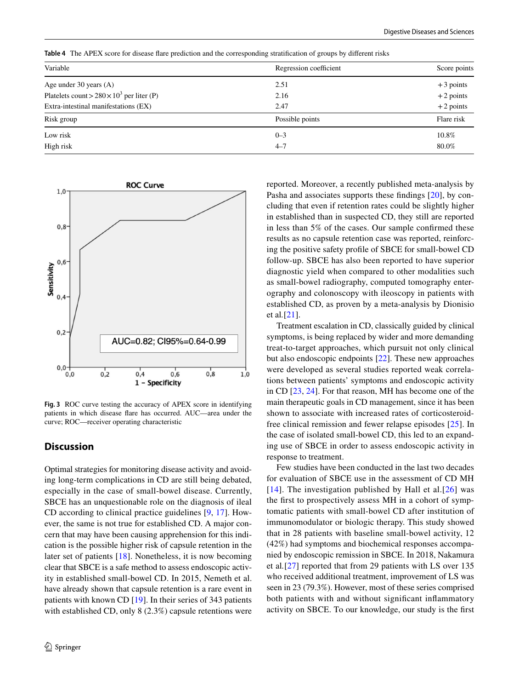<span id="page-5-0"></span>**Table 4** The APEX score for disease fare prediction and the corresponding stratifcation of groups by diferent risks

| Variable                                          | Regression coefficient | Score points |
|---------------------------------------------------|------------------------|--------------|
| Age under 30 years (A)                            | 2.51                   | $+3$ points  |
| Platelets count > $280 \times 10^3$ per liter (P) | 2.16                   | $+2$ points  |
| Extra-intestinal manifestations (EX)              | 2.47                   | $+2$ points  |
| Risk group                                        | Possible points        | Flare risk   |
| Low risk                                          | $0 - 3$                | 10.8%        |
| High risk                                         | $4 - 7$                | 80.0%        |



<span id="page-5-1"></span>**Fig. 3** ROC curve testing the accuracy of APEX score in identifying patients in which disease fare has occurred. AUC—area under the curve; ROC—receiver operating characteristic

# **Discussion**

Optimal strategies for monitoring disease activity and avoiding long-term complications in CD are still being debated, especially in the case of small-bowel disease. Currently, SBCE has an unquestionable role on the diagnosis of ileal CD according to clinical practice guidelines [\[9](#page-7-8), [17\]](#page-8-3). However, the same is not true for established CD. A major concern that may have been causing apprehension for this indication is the possible higher risk of capsule retention in the later set of patients [[18](#page-8-4)]. Nonetheless, it is now becoming clear that SBCE is a safe method to assess endoscopic activity in established small-bowel CD. In 2015, Nemeth et al. have already shown that capsule retention is a rare event in patients with known CD [\[19](#page-8-5)]. In their series of 343 patients with established CD, only 8 (2.3%) capsule retentions were reported. Moreover, a recently published meta-analysis by Pasha and associates supports these fndings [\[20\]](#page-8-6), by concluding that even if retention rates could be slightly higher in established than in suspected CD, they still are reported in less than 5% of the cases. Our sample confrmed these results as no capsule retention case was reported, reinforcing the positive safety profle of SBCE for small-bowel CD follow-up. SBCE has also been reported to have superior diagnostic yield when compared to other modalities such as small-bowel radiography, computed tomography enterography and colonoscopy with ileoscopy in patients with established CD, as proven by a meta-analysis by Dionisio et al*.*[\[21](#page-8-7)].

Treatment escalation in CD, classically guided by clinical symptoms, is being replaced by wider and more demanding treat-to-target approaches, which pursuit not only clinical but also endoscopic endpoints [\[22](#page-8-8)]. These new approaches were developed as several studies reported weak correlations between patients' symptoms and endoscopic activity in CD [\[23](#page-8-9), [24\]](#page-8-10). For that reason, MH has become one of the main therapeutic goals in CD management, since it has been shown to associate with increased rates of corticosteroidfree clinical remission and fewer relapse episodes [[25](#page-8-11)]. In the case of isolated small-bowel CD, this led to an expanding use of SBCE in order to assess endoscopic activity in response to treatment.

Few studies have been conducted in the last two decades for evaluation of SBCE use in the assessment of CD MH [[14](#page-8-0)]. The investigation published by Hall et al. [[26\]](#page-8-12) was the frst to prospectively assess MH in a cohort of symptomatic patients with small-bowel CD after institution of immunomodulator or biologic therapy. This study showed that in 28 patients with baseline small-bowel activity, 12 (42%) had symptoms and biochemical responses accompanied by endoscopic remission in SBCE. In 2018, Nakamura et al*.*[[27](#page-8-13)] reported that from 29 patients with LS over 135 who received additional treatment, improvement of LS was seen in 23 (79.3%). However, most of these series comprised both patients with and without signifcant infammatory activity on SBCE. To our knowledge, our study is the frst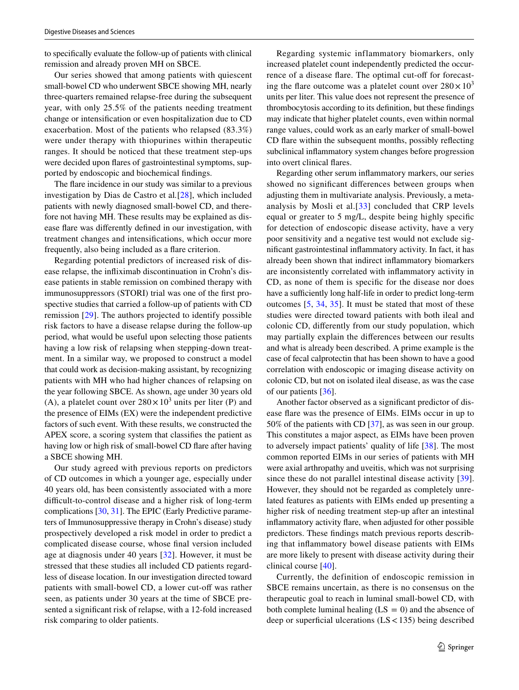to specifcally evaluate the follow-up of patients with clinical remission and already proven MH on SBCE.

Our series showed that among patients with quiescent small-bowel CD who underwent SBCE showing MH, nearly three-quarters remained relapse-free during the subsequent year, with only 25.5% of the patients needing treatment change or intensifcation or even hospitalization due to CD exacerbation. Most of the patients who relapsed (83.3%) were under therapy with thiopurines within therapeutic ranges. It should be noticed that these treatment step-ups were decided upon fares of gastrointestinal symptoms, supported by endoscopic and biochemical fndings.

The fare incidence in our study was similar to a previous investigation by Dias de Castro et al*.*[[28](#page-8-14)], which included patients with newly diagnosed small-bowel CD, and therefore not having MH. These results may be explained as disease fare was diferently defned in our investigation, with treatment changes and intensifcations, which occur more frequently, also being included as a fare criterion.

Regarding potential predictors of increased risk of disease relapse, the infiximab discontinuation in Crohn's disease patients in stable remission on combined therapy with immunosuppressors (STORI) trial was one of the frst prospective studies that carried a follow-up of patients with CD remission [\[29\]](#page-8-15). The authors projected to identify possible risk factors to have a disease relapse during the follow-up period, what would be useful upon selecting those patients having a low risk of relapsing when stepping-down treatment. In a similar way, we proposed to construct a model that could work as decision-making assistant, by recognizing patients with MH who had higher chances of relapsing on the year following SBCE. As shown, age under 30 years old (A), a platelet count over  $280 \times 10^3$  units per liter (P) and the presence of EIMs (EX) were the independent predictive factors of such event. With these results, we constructed the APEX score, a scoring system that classifes the patient as having low or high risk of small-bowel CD fare after having a SBCE showing MH.

Our study agreed with previous reports on predictors of CD outcomes in which a younger age, especially under 40 years old, has been consistently associated with a more difficult-to-control disease and a higher risk of long-term complications [[30,](#page-8-16) [31](#page-8-17)]. The EPIC (Early Predictive parameters of Immunosuppressive therapy in Crohn's disease) study prospectively developed a risk model in order to predict a complicated disease course, whose fnal version included age at diagnosis under 40 years [\[32](#page-8-18)]. However, it must be stressed that these studies all included CD patients regardless of disease location. In our investigation directed toward patients with small-bowel CD, a lower cut-off was rather seen, as patients under 30 years at the time of SBCE presented a signifcant risk of relapse, with a 12-fold increased risk comparing to older patients.

Regarding systemic inflammatory biomarkers, only increased platelet count independently predicted the occurrence of a disease flare. The optimal cut-off for forecasting the flare outcome was a platelet count over  $280 \times 10^3$ units per liter. This value does not represent the presence of thrombocytosis according to its defnition, but these fndings may indicate that higher platelet counts, even within normal range values, could work as an early marker of small-bowel CD flare within the subsequent months, possibly reflecting subclinical infammatory system changes before progression into overt clinical fares.

Regarding other serum infammatory markers, our series showed no signifcant diferences between groups when adjusting them in multivariate analysis. Previously, a metaanalysis by Mosli et al.[[33](#page-8-19)] concluded that CRP levels equal or greater to 5 mg/L, despite being highly specifc for detection of endoscopic disease activity, have a very poor sensitivity and a negative test would not exclude signifcant gastrointestinal infammatory activity. In fact, it has already been shown that indirect infammatory biomarkers are inconsistently correlated with infammatory activity in CD, as none of them is specifc for the disease nor does have a sufficiently long half-life in order to predict long-term outcomes [[5](#page-7-4), [34](#page-8-20), [35\]](#page-8-21). It must be stated that most of these studies were directed toward patients with both ileal and colonic CD, diferently from our study population, which may partially explain the diferences between our results and what is already been described. A prime example is the case of fecal calprotectin that has been shown to have a good correlation with endoscopic or imaging disease activity on colonic CD, but not on isolated ileal disease, as was the case of our patients [\[36](#page-8-22)].

Another factor observed as a signifcant predictor of disease fare was the presence of EIMs. EIMs occur in up to 50% of the patients with CD [\[37](#page-8-23)], as was seen in our group. This constitutes a major aspect, as EIMs have been proven to adversely impact patients' quality of life [\[38](#page-8-24)]. The most common reported EIMs in our series of patients with MH were axial arthropathy and uveitis, which was not surprising since these do not parallel intestinal disease activity [\[39](#page-8-25)]. However, they should not be regarded as completely unrelated features as patients with EIMs ended up presenting a higher risk of needing treatment step-up after an intestinal infammatory activity fare, when adjusted for other possible predictors. These fndings match previous reports describing that infammatory bowel disease patients with EIMs are more likely to present with disease activity during their clinical course [[40\]](#page-8-26).

Currently, the definition of endoscopic remission in SBCE remains uncertain, as there is no consensus on the therapeutic goal to reach in luminal small-bowel CD, with both complete luminal healing  $(LS = 0)$  and the absence of deep or superficial ulcerations  $(LS < 135)$  being described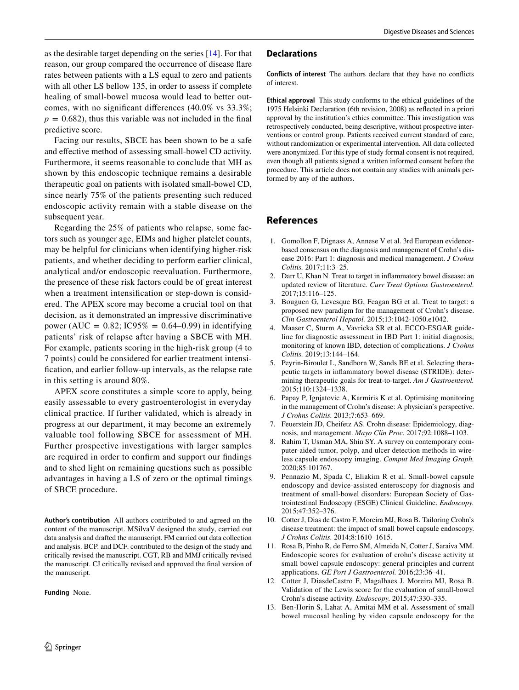as the desirable target depending on the series [[14\]](#page-8-0). For that reason, our group compared the occurrence of disease fare rates between patients with a LS equal to zero and patients with all other LS bellow 135, in order to assess if complete healing of small-bowel mucosa would lead to better outcomes, with no signifcant diferences (40.0% vs 33.3%;  $p = 0.682$ , thus this variable was not included in the final predictive score.

Facing our results, SBCE has been shown to be a safe and efective method of assessing small-bowel CD activity. Furthermore, it seems reasonable to conclude that MH as shown by this endoscopic technique remains a desirable therapeutic goal on patients with isolated small-bowel CD, since nearly 75% of the patients presenting such reduced endoscopic activity remain with a stable disease on the subsequent year.

Regarding the 25% of patients who relapse, some factors such as younger age, EIMs and higher platelet counts, may be helpful for clinicians when identifying higher-risk patients, and whether deciding to perform earlier clinical, analytical and/or endoscopic reevaluation. Furthermore, the presence of these risk factors could be of great interest when a treatment intensifcation or step-down is considered. The APEX score may become a crucial tool on that decision, as it demonstrated an impressive discriminative power (AUC =  $0.82$ ; IC95\% =  $0.64-0.99$ ) in identifying patients' risk of relapse after having a SBCE with MH. For example, patients scoring in the high-risk group (4 to 7 points) could be considered for earlier treatment intensifcation, and earlier follow-up intervals, as the relapse rate in this setting is around 80%.

APEX score constitutes a simple score to apply, being easily assessable to every gastroenterologist in everyday clinical practice. If further validated, which is already in progress at our department, it may become an extremely valuable tool following SBCE for assessment of MH. Further prospective investigations with larger samples are required in order to confrm and support our fndings and to shed light on remaining questions such as possible advantages in having a LS of zero or the optimal timings of SBCE procedure.

**Author's contribution** All authors contributed to and agreed on the content of the manuscript. MSilvaV designed the study, carried out data analysis and drafted the manuscript. FM carried out data collection and analysis. BCP. and DCF. contributed to the design of the study and critically revised the manuscript. CGT, RB and MMJ critically revised the manuscript. CJ critically revised and approved the fnal version of the manuscript.

**Funding** None.

#### **Declarations**

**Conflicts of interest** The authors declare that they have no conficts of interest.

**Ethical approval** This study conforms to the ethical guidelines of the 1975 Helsinki Declaration (6th revision, 2008) as refected in a priori approval by the institution's ethics committee. This investigation was retrospectively conducted, being descriptive, without prospective interventions or control group. Patients received current standard of care, without randomization or experimental intervention. All data collected were anonymized. For this type of study formal consent is not required, even though all patients signed a written informed consent before the procedure. This article does not contain any studies with animals performed by any of the authors.

## **References**

- <span id="page-7-0"></span>1. Gomollon F, Dignass A, Annese V et al. 3rd European evidencebased consensus on the diagnosis and management of Crohn's disease 2016: Part 1: diagnosis and medical management. *J Crohns Colitis.* 2017;11:3–25.
- <span id="page-7-1"></span>2. Darr U, Khan N. Treat to target in infammatory bowel disease: an updated review of literature. *Curr Treat Options Gastroenterol.* 2017;15:116–125.
- <span id="page-7-2"></span>3. Bouguen G, Levesque BG, Feagan BG et al. Treat to target: a proposed new paradigm for the management of Crohn's disease. *Clin Gastroenterol Hepatol.* 2015;13:1042-1050.e1042.
- <span id="page-7-3"></span>4. Maaser C, Sturm A, Vavricka SR et al. ECCO-ESGAR guideline for diagnostic assessment in IBD Part 1: initial diagnosis, monitoring of known IBD, detection of complications. *J Crohns Colitis.* 2019;13:144–164.
- <span id="page-7-4"></span>5. Peyrin-Biroulet L, Sandborn W, Sands BE et al. Selecting therapeutic targets in infammatory bowel disease (STRIDE): determining therapeutic goals for treat-to-target. *Am J Gastroenterol.* 2015;110:1324–1338.
- <span id="page-7-5"></span>6. Papay P, Ignjatovic A, Karmiris K et al. Optimising monitoring in the management of Crohn's disease: A physician's perspective. *J Crohns Colitis.* 2013;7:653–669.
- <span id="page-7-6"></span>7. Feuerstein JD, Cheifetz AS. Crohn disease: Epidemiology, diagnosis, and management. *Mayo Clin Proc.* 2017;92:1088–1103.
- <span id="page-7-7"></span>8. Rahim T, Usman MA, Shin SY. A survey on contemporary computer-aided tumor, polyp, and ulcer detection methods in wireless capsule endoscopy imaging. *Comput Med Imaging Graph.* 2020;85:101767.
- <span id="page-7-8"></span>9. Pennazio M, Spada C, Eliakim R et al. Small-bowel capsule endoscopy and device-assisted enteroscopy for diagnosis and treatment of small-bowel disorders: European Society of Gastrointestinal Endoscopy (ESGE) Clinical Guideline. *Endoscopy.* 2015;47:352–376.
- <span id="page-7-9"></span>10. Cotter J, Dias de Castro F, Moreira MJ, Rosa B. Tailoring Crohn's disease treatment: the impact of small bowel capsule endoscopy. *J Crohns Colitis.* 2014;8:1610–1615.
- <span id="page-7-10"></span>11. Rosa B, Pinho R, de Ferro SM, Almeida N, Cotter J, Saraiva MM. Endoscopic scores for evaluation of crohn's disease activity at small bowel capsule endoscopy: general principles and current applications. *GE Port J Gastroenterol.* 2016;23:36–41.
- <span id="page-7-11"></span>12. Cotter J, DiasdeCastro F, Magalhaes J, Moreira MJ, Rosa B. Validation of the Lewis score for the evaluation of small-bowel Crohn's disease activity. *Endoscopy.* 2015;47:330–335.
- <span id="page-7-12"></span>13. Ben-Horin S, Lahat A, Amitai MM et al. Assessment of small bowel mucosal healing by video capsule endoscopy for the